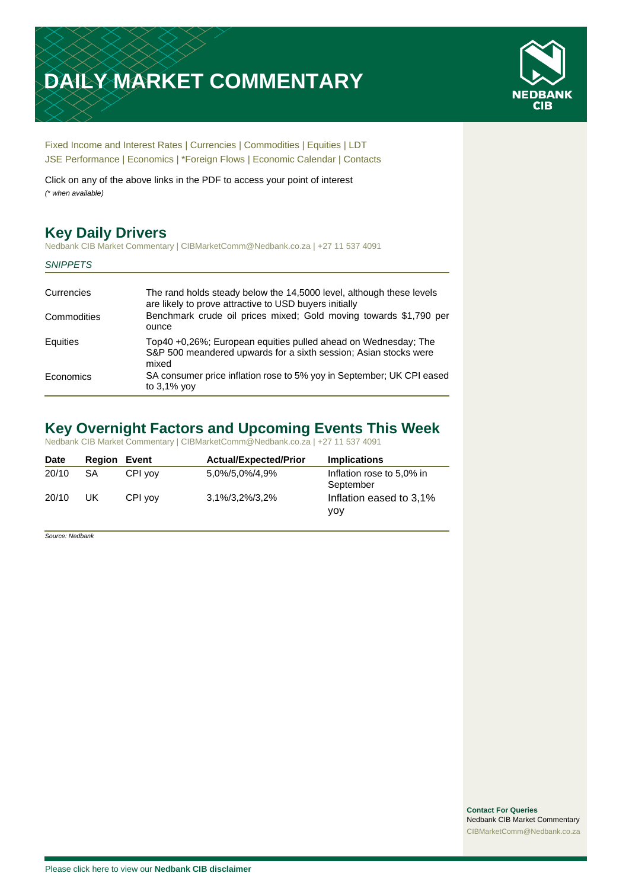# **DAILY MARKET COMMENTARY**



[Fixed Income and Interest Rates](#page-1-0) | [Currencies](#page-2-0) | [Commodities](#page-3-0) [| Equities](#page-4-0) | [LDT](#page-5-0) [JSE Performance](#page-6-0) [| Economics](#page-7-0) | [\\*Foreign Flows](#page-8-0) | [Economic Calendar](#page-8-0) | [Contacts](#page-9-0)

Click on any of the above links in the PDF to access your point of interest *(\* when available)*

# **Key Daily Drivers**

Nedbank CIB Market Commentary | CIBMarketComm@Nedbank.co.za | +27 11 537 4091

#### *SNIPPETS*

| Currencies  | The rand holds steady below the 14,5000 level, although these levels<br>are likely to prove attractive to USD buyers initially              |
|-------------|---------------------------------------------------------------------------------------------------------------------------------------------|
| Commodities | Benchmark crude oil prices mixed; Gold moving towards \$1,790 per<br>ounce                                                                  |
| Equities    | Top40 +0,26%; European equities pulled ahead on Wednesday; The<br>S&P 500 meandered upwards for a sixth session; Asian stocks were<br>mixed |
| Economics   | SA consumer price inflation rose to 5% yoy in September; UK CPI eased<br>to $3.1\%$ yov                                                     |

# **Key Overnight Factors and Upcoming Events This Week**

Nedbank CIB Market Commentary | CIBMarketComm@Nedbank.co.za | +27 11 537 4091

| <b>Date</b> | Reaion | Event   | <b>Actual/Expected/Prior</b> | <b>Implications</b>                    |
|-------------|--------|---------|------------------------------|----------------------------------------|
| 20/10       | SA     | CPI vov | 5,0%/5,0%/4,9%               | Inflation rose to 5,0% in<br>September |
| 20/10       | UK     | CPI yov | 3,1%/3,2%/3,2%               | Inflation eased to 3,1%<br>vov         |

*Source: Nedbank*

**Contact For Queries** Nedbank CIB Market Commentary [CIBMarketComm@Nedbank.co.za](file:///C:/Users/Paul-Rose/AppData/Roaming/Bluecurve/templates/CIBMarketComm@Nedbank.co.za)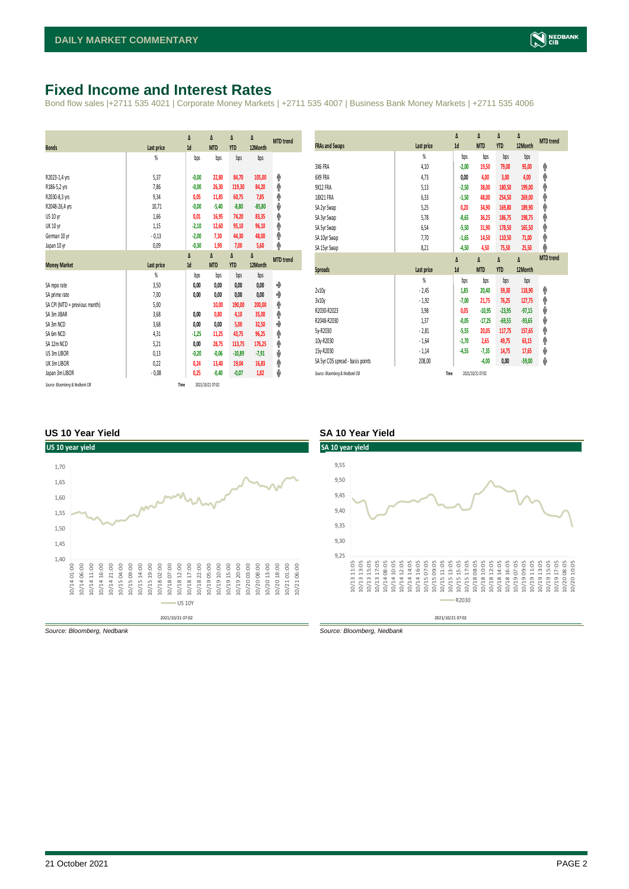# <span id="page-1-0"></span>**Fixed Income and Interest Rates**

Bond flow sales |+2711 535 4021 | Corporate Money Markets | +2711 535 4007 | Business Bank Money Markets | +2711 535 4006

| <b>Bonds</b>                  | <b>Last price</b> | Δ<br>1d | Δ<br><b>MTD</b> | Δ<br><b>YTD</b> | Δ<br>12Month | <b>MTD</b> trend |
|-------------------------------|-------------------|---------|-----------------|-----------------|--------------|------------------|
|                               | %                 | bps     | bps             | bps             | bps          |                  |
|                               |                   |         |                 |                 |              |                  |
| R2023-1,4 yrs                 | 5,37              | $-0,00$ | 22,80           | 84,70           | 105,00       | ۸                |
| R186-5,2 yrs                  | 7,86              | $-0,00$ | 26,30           | 119,30          | 84,20        | ۸                |
| R2030-8,3 yrs                 | 9,34              | 0,05    | 11,85           | 60,75           | 7,85         | ۸                |
| R2048-26,4 yrs                | 10,71             | $-0,00$ | $-5,40$         | $-8,80$         | $-85,80$     | ψ                |
| US 10 yr                      | 1,66              | 0,01    | 16,95           | 74,20           | 83,35        | φ                |
| <b>UK 10 yr</b>               | 1,15              | $-2,10$ | 12,60           | 95,10           | 96,10        | ۸                |
| German 10 yr                  | $-0,13$           | $-2,00$ | 7,30            | 44,30           | 48,00        | ۸                |
| Japan 10 yr                   | 0,09              | $-0,30$ | 1,90            | 7,00            | 5,60         | φ                |
|                               |                   | Δ       | Δ               | Δ               | Δ            | <b>MTD</b> trend |
| <b>Money Market</b>           | Last price        | 1d      | <b>MTD</b>      | <b>YTD</b>      | 12Month      |                  |
|                               |                   |         |                 |                 |              |                  |
|                               | $\frac{9}{20}$    | bps     | bps             | bps             | bps          |                  |
| SA repo rate                  | 3,50              | 0,00    | 0,00            | 0,00            | 0,00         | ۰                |
| SA prime rate                 | 7,00              | 0,00    | 0,00            | 0,00            | 0,00         | ٠                |
| SA CPI (MTD = previous month) | 5,00              |         | 10,00           | 190,00          | 200,00       | ۸                |
| SA 3m JIBAR                   | 3,68              | 0,00    | 0,80            | 4,10            | 35,00        | ۸                |
| SA 3m NCD                     | 3,68              | 0,00    | 0,00            | 5,00            | 32,50        | ٠                |
| SA 6m NCD                     | 4,31              | $-1,25$ | 11,25           | 43,75           | 96,25        | ۸                |
| SA 12m NCD                    | 5,21              | 0,00    | 28,75           | 113,75          | 176,25       | ۸                |
| US 3m LIBOR                   | 0,13              | $-0,20$ | $-0,06$         | $-10,89$        | $-7,91$      | ψ                |
| UK 3m LIBOR                   | 0,22              | 0,24    | 13,40           | 19,04           | 16,83        | ۸                |
| Japan 3m LIBOR                | $-0.08$           | 0,25    | $-0,40$         | $-0,07$         | 1,82         | ψ                |

|                                  |            | Δ       | Δ          | Δ          | Δ        | <b>MTD</b> trend |
|----------------------------------|------------|---------|------------|------------|----------|------------------|
| <b>FRAs and Swaps</b>            | Last price | 1d      | <b>MTD</b> | <b>YTD</b> | 12Month  |                  |
|                                  | %          | bps     | bps        | bps        | bps      |                  |
| 3X6 FRA                          | 4,10       | $-2,00$ | 19,50      | 79,00      | 95,00    | ۸                |
| 6X9 FRA                          | 4,73       | 0,00    | 4,00       | 3,00       | 4,00     | ♠                |
| 9X12 FRA                         | 5,13       | $-2,50$ | 38,00      | 180,50     | 199,00   | ۸                |
| 18X21 FRA                        | 6,33       | $-1,50$ | 48,00      | 254,50     | 269,00   | ۸                |
| SA 2yr Swap                      | 5,25       | 0,20    | 34,90      | 169,80     | 189,90   | ♠                |
| SA 3yr Swap                      | 5,78       | $-8,65$ | 36,25      | 186,75     | 198,75   | ۸                |
| SA 5yr Swap                      | 6,54       | $-5,50$ | 31,90      | 178,50     | 165,50   | ♠                |
| SA 10yr Swap                     | 7,70       | $-1,65$ | 14,50      | 110,50     | 71,00    | ۸                |
| SA 15yr Swap                     | 8,21       | $-4,50$ | 4,50       | 75,50      | 25,50    | ۸                |
|                                  |            | Δ       | Δ          | Δ          |          | <b>MTD</b> trend |
|                                  |            |         |            |            | Δ        |                  |
| <b>Spreads</b>                   | Last price | 1d      | <b>MTD</b> | <b>YTD</b> | 12Month  |                  |
|                                  | %          | bps     | bps        | bps        | bps      |                  |
| 2v10v                            | $-2,45$    | 1,85    | 20,40      | 59,30      | 118,90   | ۸                |
| 3v10v                            | $-1,92$    | $-7,00$ | 21,75      | 76,25      | 127,75   | ♠                |
| R2030-R2023                      | 3,98       | 0,05    | $-10,95$   | $-23,95$   | $-97,15$ | ψ                |
| R2048-R2030                      | 1,37       | $-0,05$ | $-17,25$   | $-69,55$   | $-93,65$ | ψ                |
| 5y-R2030                         | $-2,81$    | $-5,55$ | 20,05      | 117,75     | 157,65   | ۸                |
| 10y-R2030                        | $-1,64$    | $-1,70$ | 2,65       | 49,75      | 63,15    | ♠                |
| 15y-R2030                        | $-1,14$    | $-4,55$ | $-7,35$    | 14,75      | 17,65    | ψ                |
| SA 5yr CDS spread - basis points | 208.00     |         | $-4,00$    | 0,00       | $-59,00$ | V                |

#### **US 10 Year Yield SA 10 Year Yield**



*Source: Bloomberg, Nedbank Source: Bloomberg, Nedbank*

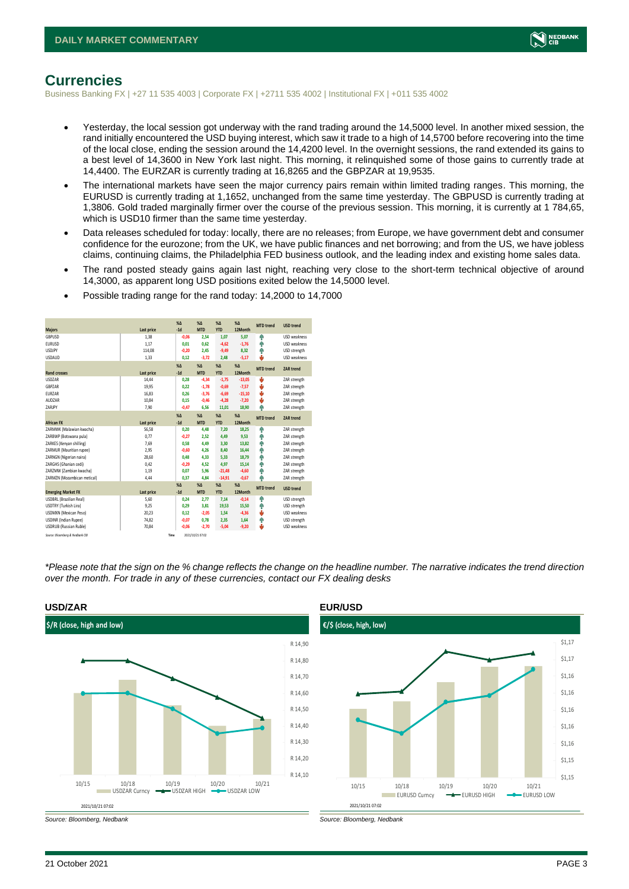

# <span id="page-2-0"></span>**Currencies**

Business Banking FX | +27 11 535 4003 | Corporate FX | +2711 535 4002 | Institutional FX | +011 535 4002

- Yesterday, the local session got underway with the rand trading around the 14,5000 level. In another mixed session, the rand initially encountered the USD buying interest, which saw it trade to a high of 14,5700 before recovering into the time of the local close, ending the session around the 14,4200 level. In the overnight sessions, the rand extended its gains to a best level of 14,3600 in New York last night. This morning, it relinquished some of those gains to currently trade at 14,4400. The EURZAR is currently trading at 16,8265 and the GBPZAR at 19,9535.
- The international markets have seen the major currency pairs remain within limited trading ranges. This morning, the EURUSD is currently trading at 1,1652, unchanged from the same time yesterday. The GBPUSD is currently trading at 1,3806. Gold traded marginally firmer over the course of the previous session. This morning, it is currently at 1 784,65, which is USD10 firmer than the same time yesterday.
- Data releases scheduled for today: locally, there are no releases; from Europe, we have government debt and consumer confidence for the eurozone; from the UK, we have public finances and net borrowing; and from the US, we have jobless claims, continuing claims, the Philadelphia FED business outlook, and the leading index and existing home sales data.
- The rand posted steady gains again last night, reaching very close to the short-term technical objective of around 14,3000, as apparent long USD positions exited below the 14,5000 level.

|                                 |            | $X\Delta$ | $X\Delta$        | $% \Delta$ | $% \Delta$   | <b>MTD</b> trend | <b>USD trend</b>    |
|---------------------------------|------------|-----------|------------------|------------|--------------|------------------|---------------------|
| <b>Majors</b>                   | Last price | $-1d$     | <b>MTD</b>       | <b>YTD</b> | 12Month      |                  |                     |
| <b>GBPUSD</b>                   | 1,38       | $-0,06$   | 2,54             | 1,07       | 5,07         | ٠                | <b>USD</b> weakness |
| <b>EURUSD</b>                   | 1,17       | 0.01      | 0.62             | $-4,62$    | $-1,76$      | ٠                | <b>USD</b> weakness |
| <b>USDJPY</b>                   | 114,08     | $-0.20$   | 2,45             | $-9,49$    | 8,32         | ۸                | USD strength        |
| <b>USDAUD</b>                   | 1,33       | 0,12      | $-3,72$          | 2,48       | $-5,17$      | ш                | <b>USD</b> weakness |
|                                 |            | $X\Delta$ | $X\Delta$        | $% \Delta$ | $%$ $\Delta$ | <b>MTD</b> trend | <b>ZAR trend</b>    |
| <b>Rand crosses</b>             | Last price | $-1d$     | <b>MTD</b>       | <b>YTD</b> | 12Month      |                  |                     |
| <b>USDZAR</b>                   | 14,44      | 0,28      | $-4,34$          | $-1,75$    | $-13,05$     | ÷                | ZAR strength        |
| GBPZAR                          | 19,95      | 0.22      | $-1,78$          | $-0,69$    | $-7,57$      | v                | ZAR strength        |
| <b>EURZAR</b>                   | 16,83      | 0.26      | $-3,76$          | $-6,69$    | $-15,10$     | v                | ZAR strength        |
| AUDZAR                          | 10,84      | 0.15      | $-0,46$          | $-4,28$    | $-7,20$      | v                | ZAR strength        |
| ZARJPY                          | 7,90       | $-0,47$   | 6,56             | 11,01      | 18,90        | ۸                | ZAR strength        |
|                                 |            | $X\Delta$ | $X\Delta$        | $% \Delta$ | $%$ $\Delta$ | <b>MTD</b> trend | <b>ZAR</b> trend    |
| <b>African FX</b>               | Last price | $-1d$     | <b>MTD</b>       | <b>YTD</b> | 12Month      |                  |                     |
| ZARMWK (Malawian kwacha)        | 56,58      | 0.20      | 4.48             | 7,20       | 18,25        | ۸                | ZAR strength        |
| ZARBWP (Botswana pula)          | 0,77       | $-0,27$   | 2,52             | 4,49       | 9,53         | ٠                | ZAR strength        |
| ZARKES (Kenvan shilling)        | 7.69       | 0.58      | 4.49             | 3,30       | 13,82        | ٠                | ZAR strength        |
| ZARMUR (Mauritian rupee)        | 2,95       | $-0,60$   | 4.26             | 8,40       | 16,44        | ٠                | ZAR strength        |
| ZARNGN (Nigerian naira)         | 28,60      | 0.48      | 4.33             | 5,33       | 18,79        | ۸                | ZAR strength        |
| ZARGHS (Ghanian cedi)           | 0,42       | $-0,29$   | 4,52             | 4,97       | 15,14        | ٠                | ZAR strength        |
| ZARZMW (Zambian kwacha)         | 1,19       | 0.07      | 5,96             | $-21.48$   | $-4,60$      | ÷                | ZAR strength        |
| ZARMZN (Mozambican metical)     | 4,44       | 0.37      | 4.84             | $-14,91$   | $-0,67$      | ٨                | ZAR strength        |
|                                 |            | $X\Delta$ | $X\Delta$        | $% \Delta$ | $%$ $\Delta$ | <b>MTD</b> trend |                     |
| <b>Emerging Market FX</b>       | Last price | $-1d$     | <b>MTD</b>       | <b>YTD</b> | 12Month      |                  | <b>USD trend</b>    |
| <b>USDBRL (Brazilian Real)</b>  | 5,60       | 0,24      | 2,77             | 7,14       | $-0,14$      | ٠                | USD strength        |
| USDTRY (Turkish Lira)           | 9,25       | 0.29      | 3.81             | 19,53      | 15,50        | ٠                | USD strength        |
| <b>USDMXN (Mexican Peso)</b>    | 20,23      | 0.12      | $-2.05$          | 1,54       | $-4,36$      | v                | USD weakness        |
| <b>USDINR</b> (Indian Rupee)    | 74,82      | $-0,07$   | 0,78             | 2,35       | 1,64         | ٠                | USD strength        |
| <b>USDRUB (Russian Ruble)</b>   | 70,84      | $-0.06$   | $-2.70$          | $-5,04$    | $-9,20$      |                  | <b>USD</b> weakness |
| Source: Bloomberg & Nedbank CIB | Time       |           | 2021/10/21 07:02 |            |              |                  |                     |

• Possible trading range for the rand today: 14,2000 to 14,7000

*\*Please note that the sign on the % change reflects the change on the headline number. The narrative indicates the trend direction over the month. For trade in any of these currencies, contact our FX dealing desks*



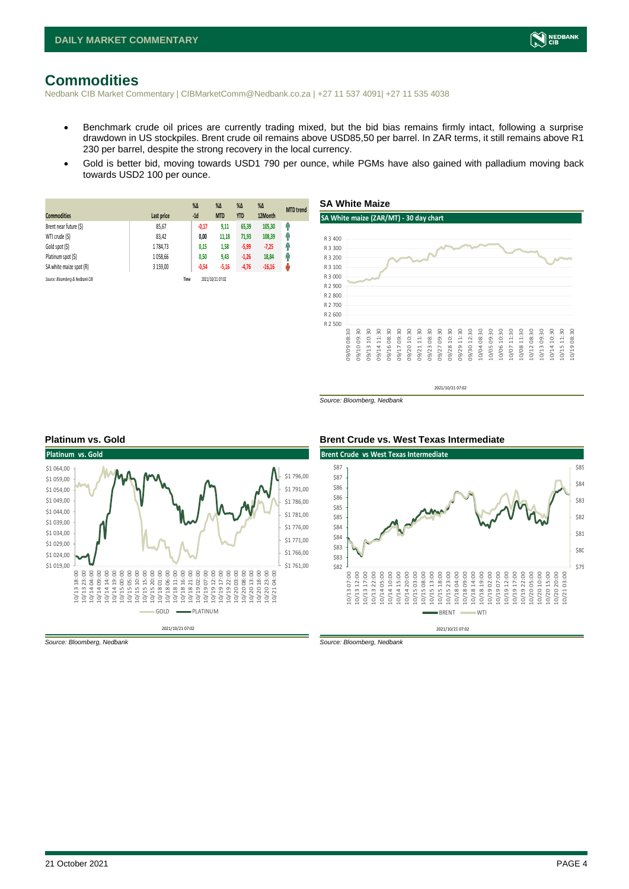# <span id="page-3-0"></span>**Commodities**

Nedbank CIB Market Commentary | CIBMarketComm@Nedbank.co.za | +27 11 537 4091| +27 11 535 4038

- Benchmark crude oil prices are currently trading mixed, but the bid bias remains firmly intact, following a surprise drawdown in US stockpiles. Brent crude oil remains above USD85,50 per barrel. In ZAR terms, it still remains above R1 230 per barrel, despite the strong recovery in the local currency.
- Gold is better bid, moving towards USD1 790 per ounce, while PGMs have also gained with palladium moving back towards USD2 100 per ounce.

|                                 |            | $%$ $\Delta$ | $\%$ $\Delta$    | $% \Delta$ | $% \Delta$ | <b>MTD</b> trend |
|---------------------------------|------------|--------------|------------------|------------|------------|------------------|
| <b>Commodities</b>              | Last price | $-1d$        | <b>MTD</b>       | <b>YTD</b> | 12Month    |                  |
| Brent near future (\$)          | 85,67      | $-0,17$      | 9,11             | 65,39      | 105,30     | Ω                |
| WTI crude (\$)                  | 83,42      | 0,00         | 11,18            | 71,93      | 108,39     | φ                |
| Gold spot (\$)                  | 1784,73    | 0,15         | 1,58             | $-5,99$    | $-7,25$    | 4                |
| Platinum spot (\$)              | 1058.66    | 0,50         | 9,43             | $-1,26$    | 18,84      | 4                |
| SA white maize spot (R)         | 3 159.00   | $-0,54$      | $-5,16$          | $-4,76$    | $-16,16$   | ψ                |
| Source: Bloomberg & Nedbank CIB |            | Time         | 2021/10/21 07:02 |            |            |                  |



2021/10/21 07:02

*Source: Bloomberg, Nedbank*

#### 2021/10/21 07:02 **Platinum vs. Gold**  \$1 019,00 \$1 024,00 \$1,029,00 \$1 034,00 \$1 039,00 \$1 044,00 \$1 049,00 \$1 054,00 \$1 059,00 \$1 064,00 10/13 18:00 10/13 23:00 10/14 04:00 10/14 09:00 10/14 14:00 10/14 19:00 10/15 00:00 10/15 05:00 10/15 10:00 10/15 15:00 10/15 20:00 10/18 01:00 10/18 06:00 10/18 11:00 10/18 16:00 10/18 21:00 10/19 02:00 10/19 07:00 10/19 12:00 10/19 17:00 10/19 22:00 10/20 03:00 10/20 08:00 10/20 13:00 10/20 18:00 10/20 23:00 10/21 04:00 \$1 761,00 \$1 766,00 \$1 771,00 \$1 776,00 \$1 781,00 \$1 786,00 \$1 791,00 \$1 796,00 GOLD **-** PLATINUM

*Source: Bloomberg, Nedbank Source: Bloomberg, Nedbank*

#### **Platinum vs. Gold Brent Crude vs. West Texas Intermediate**



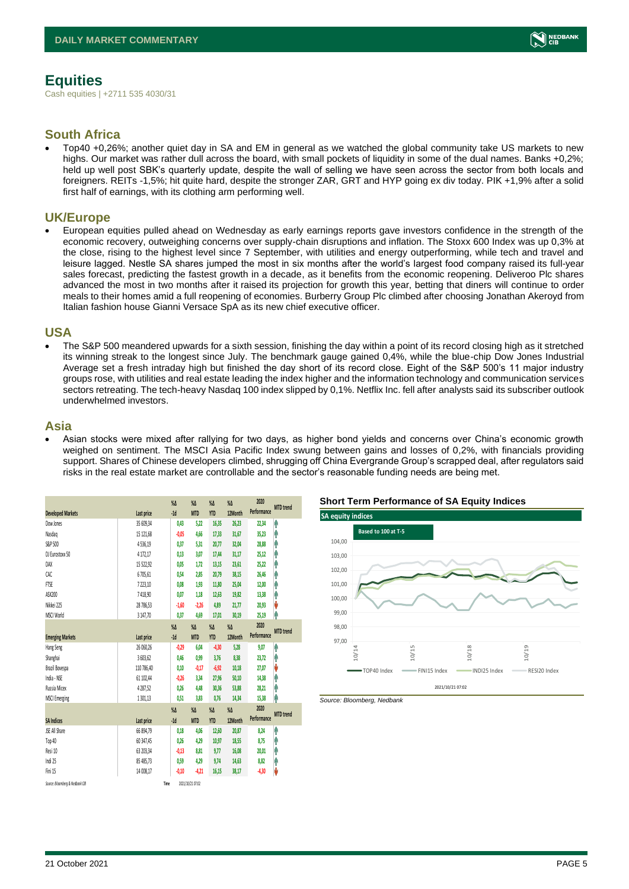<span id="page-4-0"></span>Cash equities | +2711 535 4030/31

### **South Africa**

• Top40 +0,26%; another quiet day in SA and EM in general as we watched the global community take US markets to new highs. Our market was rather dull across the board, with small pockets of liquidity in some of the dual names. Banks +0,2%; held up well post SBK's quarterly update, despite the wall of selling we have seen across the sector from both locals and foreigners. REITs -1,5%; hit quite hard, despite the stronger ZAR, GRT and HYP going ex div today. PIK +1,9% after a solid first half of earnings, with its clothing arm performing well.

#### **UK/Europe**

• European equities pulled ahead on Wednesday as early earnings reports gave investors confidence in the strength of the economic recovery, outweighing concerns over supply-chain disruptions and inflation. The Stoxx 600 Index was up 0,3% at the close, rising to the highest level since 7 September, with utilities and energy outperforming, while tech and travel and leisure lagged. Nestle SA shares jumped the most in six months after the world's largest food company raised its full-year sales forecast, predicting the fastest growth in a decade, as it benefits from the economic reopening. Deliveroo Plc shares advanced the most in two months after it raised its projection for growth this year, betting that diners will continue to order meals to their homes amid a full reopening of economies. Burberry Group Plc climbed after choosing Jonathan Akeroyd from Italian fashion house Gianni Versace SpA as its new chief executive officer.

#### **USA**

• The S&P 500 meandered upwards for a sixth session, finishing the day within a point of its record closing high as it stretched its winning streak to the longest since July. The benchmark gauge gained 0,4%, while the blue-chip Dow Jones Industrial Average set a fresh intraday high but finished the day short of its record close. Eight of the S&P 500's 11 major industry groups rose, with utilities and real estate leading the index higher and the information technology and communication services sectors retreating. The tech-heavy Nasdaq 100 index slipped by 0,1%. Netflix Inc. fell after analysts said its subscriber outlook underwhelmed investors.

#### **Asia**

• Asian stocks were mixed after rallying for two days, as higher bond yields and concerns over China's economic growth weighed on sentiment. The MSCI Asia Pacific Index swung between gains and losses of 0,2%, with financials providing support. Shares of Chinese developers climbed, shrugging off China Evergrande Group's scrapped deal, after regulators said risks in the real estate market are controllable and the sector's reasonable funding needs are being met.

|                                 |            | $\%$ $\Delta$ | $\%$ $\Delta$    | $\%$ $\Delta$ | $\%$ $\Delta$ | 2020        | <b>MTD</b> trend |
|---------------------------------|------------|---------------|------------------|---------------|---------------|-------------|------------------|
| <b>Developed Markets</b>        | Last price | $-1d$         | <b>MTD</b>       | <b>YTD</b>    | 12Month       | Performance |                  |
| Dow Jones                       | 35 609,34  | 0,43          | 5,22             | 16,35         | 26,23         | 22,34       | ٨                |
| Nasdao                          | 15 121,68  | $-0.05$       | 4.66             | 17,33         | 31,67         | 35,23       | Λ                |
| S&P 500                         | 4536,19    | 0.37          | 5.31             | 20,77         | 32,04         | 28,88       | Α                |
| DJ Eurostoxx 50                 | 4 1 7 2.17 | 0.13          | 3.07             | 17,44         | 31,17         | 25,12       | ٨                |
| DAX                             | 15 522,92  | 0,05          | 1.72             | 13,15         | 23,61         | 25,22       | A                |
| CAC                             | 6705.61    | 0.54          | 2.85             | 20,79         | 38.15         | 26.46       | A                |
| FTSE                            | 7223.10    | 0.08          | 1.93             | 11,80         | 25.04         | 12,00       | ٨                |
| ASX200                          | 7418,90    | 0.07          | 1.18             | 12,63         | 19,82         | 13,38       | Α                |
| Nikkei 225                      | 28 786,53  | $-1,60$       | $-2,26$          | 4,89          | 21.77         | 20,93       | V                |
| MSCI World                      | 3147,70    | 0,37          | 4,69             | 17,01         | 30,19         | 25,19       | ٨                |
|                                 |            | $\%$ $\Delta$ | $\%$ $\Delta$    | $\%$ $\Delta$ | $\%$ $\Delta$ | 2020        |                  |
| <b>Emerging Markets</b>         | Last price | $-1d$         | <b>MTD</b>       | <b>YTD</b>    | 12Month       | Performance | <b>MTD</b> trend |
| Hang Seng                       | 26 060,26  | $-0.29$       | 6,04             | $-4,30$       | 5,28          | 9,07        | ٨                |
| Shanghai                        | 3 603,62   | 0.46          | 0.99             | 3,76          | 8,38          | 23,72       | Α                |
| Brazil Bovespa                  | 110 786.40 | 0.10          | $-0.17$          | $-6,92$       | 10,18         | 27,07       | V                |
| India - NSE                     | 61 102.44  | $-0.26$       | 3.34             | 27,96         | 50,10         | 14,38       | Ą                |
| Russia Micex                    | 4287.52    | 0.26          | 4.48             | 30,36         | 53.88         | 28,21       | Α                |
| <b>MSCI Emerging</b>            | 1301,13    | 0.51          | 3.83             | 0.76          | 14.34         | 15,38       | ٨                |
|                                 |            | $\%$ $\Delta$ | $\%$ $\Delta$    | $\%$ $\Delta$ | $\%$ $\Delta$ | 2020        | <b>MTD</b> trend |
| <b>SA Indices</b>               | Last price | $-1d$         | <b>MTD</b>       | <b>YTD</b>    | 12Month       | Performance |                  |
| <b>ISE All Share</b>            | 66 894,79  | 0,18          | 4,06             | 12,60         | 20,87         | 8,24        | ٨                |
| Top 40                          | 60 347,45  | 0,26          | 4,29             | 10,97         | 18,55         | 8.75        | A                |
| Resi 10                         | 63 203.34  | $-0.13$       | 8.81             | 9,77          | 16.08         | 20.01       | A                |
| Indi 25                         | 85 485.73  | 0.59          | 4.29             | 9,74          | 14,63         | 8,82        | Λ                |
| Fini 15                         | 14 008,17  | $-0,10$       | $-4,21$          | 16,15         | 38,17         | $-4,30$     | V                |
| Source: Bloomberg & Nedbonk CIB | Time       |               | 2021/10/21 07:02 |               |               |             |                  |





NEDBANK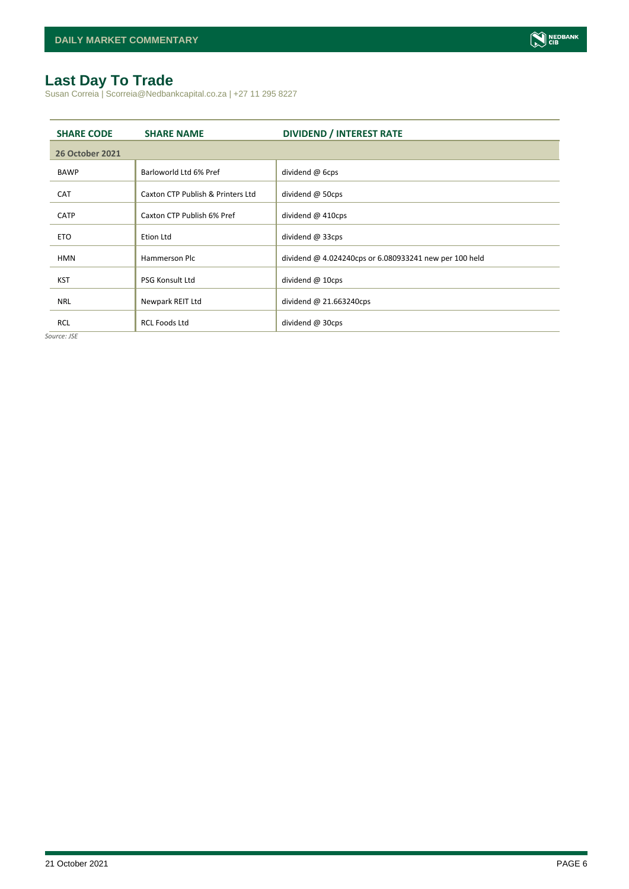# <span id="page-5-0"></span>**Last Day To Trade**

Susan Correia | Scorreia@Nedbankcapital.co.za | +27 11 295 8227

| <b>SHARE CODE</b>      | <b>SHARE NAME</b>                 | <b>DIVIDEND / INTEREST RATE</b>                        |
|------------------------|-----------------------------------|--------------------------------------------------------|
| <b>26 October 2021</b> |                                   |                                                        |
| <b>BAWP</b>            | Barloworld Ltd 6% Pref            | dividend @ 6cps                                        |
| <b>CAT</b>             | Caxton CTP Publish & Printers Ltd | dividend $@$ 50cps                                     |
| <b>CATP</b>            | Caxton CTP Publish 6% Pref        | dividend $@$ 410cps                                    |
| <b>ETO</b>             | Etion Ltd                         | dividend @ 33cps                                       |
| <b>HMN</b>             | Hammerson Plc                     | dividend @ 4.024240cps or 6.080933241 new per 100 held |
| <b>KST</b>             | <b>PSG Konsult Ltd</b>            | dividend @ 10cps                                       |
|                        |                                   |                                                        |
| <b>NRL</b>             | Newpark REIT Ltd                  | dividend $@$ 21.663240cps                              |
| <b>RCL</b>             | <b>RCL Foods Ltd</b>              | dividend @ 30cps                                       |

*Source: JSE*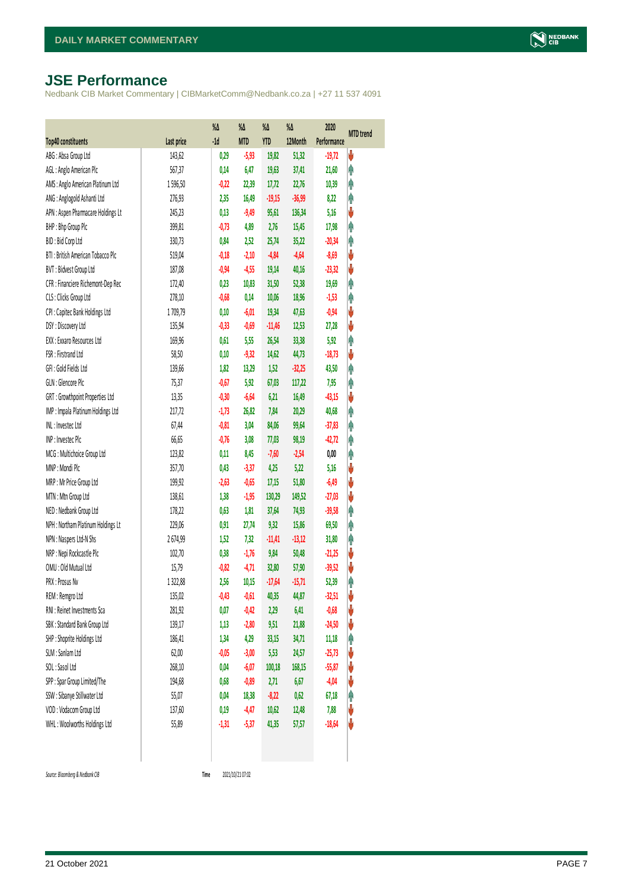# <span id="page-6-0"></span>**JSE Performance**

Nedbank CIB Market Commentary | CIBMarketComm@Nedbank.co.za | +27 11 537 4091

|                                    |            | $\%$ $\Delta$ | %Δ         | %Δ         | %Δ       | 2020        | <b>MTD</b> trend |
|------------------------------------|------------|---------------|------------|------------|----------|-------------|------------------|
| <b>Top40 constituents</b>          | Last price | $-1d$         | <b>MTD</b> | <b>YTD</b> | 12Month  | Performance |                  |
| ABG: Absa Group Ltd                | 143,62     | 0,29          | $-5,93$    | 19,82      | 51,32    | $-19,72$    | V                |
| AGL: Anglo American Plc            | 567,37     | 0,14          | 6,47       | 19,63      | 37,41    | 21,60       | φ                |
| AMS: Anglo American Platinum Ltd   | 1596,50    | $-0,22$       | 22,39      | 17,72      | 22,76    | 10,39       | φ                |
| ANG: Anglogold Ashanti Ltd         | 276,93     | 2,35          | 16,49      | $-19,15$   | $-36,99$ | 8,22        | φ                |
| APN : Aspen Pharmacare Holdings Lt | 245,23     | 0,13          | $-9,49$    | 95,61      | 136,34   | 5,16        | V                |
| BHP: Bhp Group Plc                 | 399,81     | $-0,73$       | 4,89       | 2,76       | 15,45    | 17,98       | φ                |
| BID: Bid Corp Ltd                  | 330,73     | 0,84          | 2,52       | 25,74      | 35,22    | $-20,34$    | φ                |
| BTI: British American Tobacco Plc  | 519,04     | $-0,18$       | $-2,10$    | $-4,84$    | $-4,64$  | $-8,69$     | V                |
| BVT: Bidvest Group Ltd             | 187,08     | $-0,94$       | $-4,55$    | 19,14      | 40,16    | $-23,32$    | V                |
| CFR : Financiere Richemont-Dep Rec | 172,40     | 0,23          | 10,83      | 31,50      | 52,38    | 19,69       | φ                |
| CLS : Clicks Group Ltd             | 278,10     | $-0,68$       | 0,14       | 10,06      | 18,96    | $-1,53$     | φ                |
| CPI : Capitec Bank Holdings Ltd    | 1709,79    | 0,10          | $-6,01$    | 19,34      | 47,63    | $-0,94$     | ψ                |
| DSY: Discovery Ltd                 | 135,94     | $-0,33$       | $-0,69$    | $-11,46$   | 12,53    | 27,28       | V                |
| EXX : Exxaro Resources Ltd         | 169,96     | 0,61          | 5,55       | 26,54      | 33,38    | 5,92        | φ                |
| FSR: Firstrand Ltd                 | 58,50      | 0,10          | $-9,32$    | 14,62      | 44,73    | $-18,73$    | ψ                |
| GFI: Gold Fields Ltd               | 139,66     | 1,82          | 13,29      | 1,52       | $-32,25$ | 43,50       | φ                |
| GLN : Glencore Plc                 | 75,37      | $-0,67$       | 5,92       | 67,03      | 117,22   | 7,95        | φ                |
| GRT : Growthpoint Properties Ltd   | 13,35      | $-0,30$       | $-6,64$    | 6,21       | 16,49    | $-43,15$    | V                |
| IMP : Impala Platinum Holdings Ltd | 217,72     | $-1,73$       | 26,82      | 7,84       | 20,29    | 40,68       | φ                |
| INL: Investec Ltd                  | 67,44      | $-0,81$       | 3,04       | 84,06      | 99,64    | $-37,83$    | φ                |
| INP: Invested Plc                  | 66,65      | $-0,76$       | 3,08       | 77,03      | 98,19    | $-42,72$    | Λ                |
| MCG: Multichoice Group Ltd         | 123,82     | 0,11          | 8,45       | $-7,60$    | $-2,54$  | 0,00        | φ                |
| MNP: Mondi Plc                     | 357,70     | 0,43          | $-3,37$    | 4,25       | 5,22     | 5,16        | ψ                |
| MRP : Mr Price Group Ltd           | 199,92     | $-2,63$       | $-0,65$    | 17,15      | 51,80    | $-6,49$     | ψ                |
| MTN: Mtn Group Ltd                 | 138,61     | 1,38          | $-1,95$    | 130,29     | 149,52   | $-27,03$    | ψ                |
| NED : Nedbank Group Ltd            | 178,22     | 0,63          | 1,81       | 37,64      | 74,93    | $-39,58$    | φ                |
| NPH : Northam Platinum Holdings Lt | 229,06     | 0,91          | 27,74      | 9,32       | 15,86    | 69,50       | φ                |
| NPN : Naspers Ltd-N Shs            | 2674,99    | 1,52          | 7,32       | $-11,41$   | $-13,12$ | 31,80       | φ                |
| NRP : Nepi Rockcastle Plc          | 102,70     | 0,38          | $-1,76$    | 9,84       | 50,48    | $-21,25$    | V                |
| OMU: Old Mutual Ltd                | 15,79      | $-0,82$       | $-4,71$    | 32,80      | 57,90    | $-39,52$    | ψ                |
| PRX: Prosus Nv                     | 1322,88    | 2,56          | 10,15      | $-17,64$   | $-15,71$ | 52,39       | φ                |
| REM : Remgro Ltd                   | 135,02     | $-0,43$       | $-0,61$    | 40,35      | 44,87    | $-32,51$    | V                |
| RNI : Reinet Investments Sca       | 281,92     | 0,07          | $-0,42$    | 2,29       | 6,41     | $-0,68$     | V                |
| SBK: Standard Bank Group Ltd       | 139,17     | 1,13          | $-2,80$    | 9,51       | 21,88    | $-24,50$    | ψ                |
| SHP: Shoprite Holdings Ltd         | 186,41     | 1,34          | 4,29       | 33,15      | 34,71    | 11,18       | φ                |
| SLM : Sanlam Ltd                   | 62,00      | $-0,05$       | $-3,00$    | 5,53       | 24,57    | $-25,73$    | ψ                |
| SOL: Sasol Ltd                     | 268,10     | 0,04          | $-6,07$    | 100,18     | 168,15   | $-55,87$    | ψ                |
| SPP: Spar Group Limited/The        | 194,68     | 0,68          | $-0,89$    | 2,71       | 6,67     | $-4,04$     | ψ                |
| SSW : Sibanye Stillwater Ltd       | 55,07      | 0,04          | 18,38      | $-8,22$    | 0,62     | 67,18       | Ĥ                |
| VOD: Vodacom Group Ltd             | 137,60     | 0,19          | $-4,47$    | 10,62      | 12,48    | 7,88        | ψ                |
| WHL: Woolworths Holdings Ltd       | 55,89      | $-1,31$       | $-5,37$    | 41,35      | 57,57    | $-18,64$    | V                |
|                                    |            |               |            |            |          |             |                  |

 $Source: Bloomberg & Nedbank *CB*$ 

2021/10/21 07:02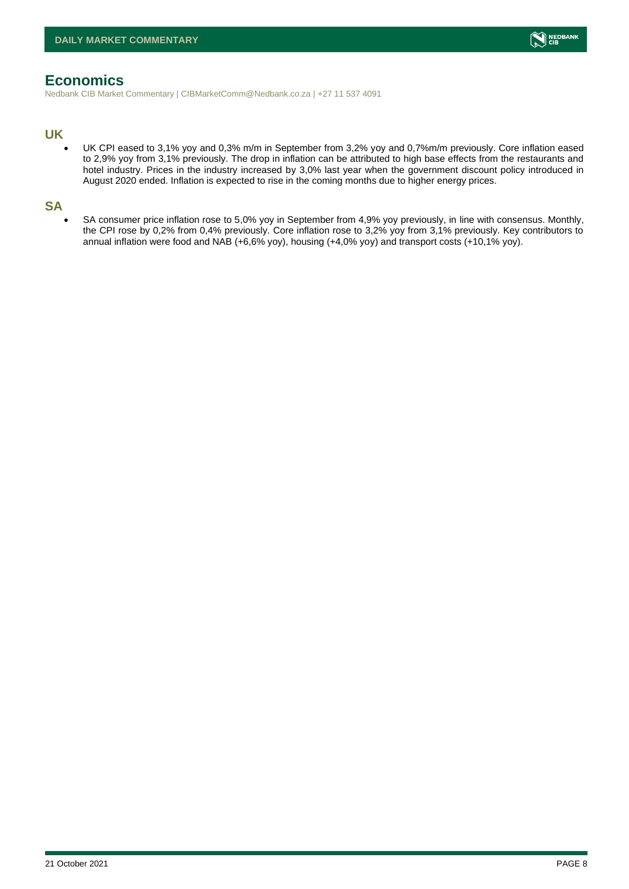

# <span id="page-7-0"></span>**Economics**

Nedbank CIB Market Commentary | CIBMarketComm@Nedbank.co.za | +27 11 537 4091

#### **UK**

• UK CPI eased to 3,1% yoy and 0,3% m/m in September from 3,2% yoy and 0,7%m/m previously. Core inflation eased to 2,9% yoy from 3,1% previously. The drop in inflation can be attributed to high base effects from the restaurants and hotel industry. Prices in the industry increased by 3,0% last year when the government discount policy introduced in August 2020 ended. Inflation is expected to rise in the coming months due to higher energy prices.

#### **SA**

• SA consumer price inflation rose to 5,0% yoy in September from 4,9% yoy previously, in line with consensus. Monthly, the CPI rose by 0,2% from 0,4% previously. Core inflation rose to 3,2% yoy from 3,1% previously. Key contributors to annual inflation were food and NAB (+6,6% yoy), housing (+4,0% yoy) and transport costs (+10,1% yoy).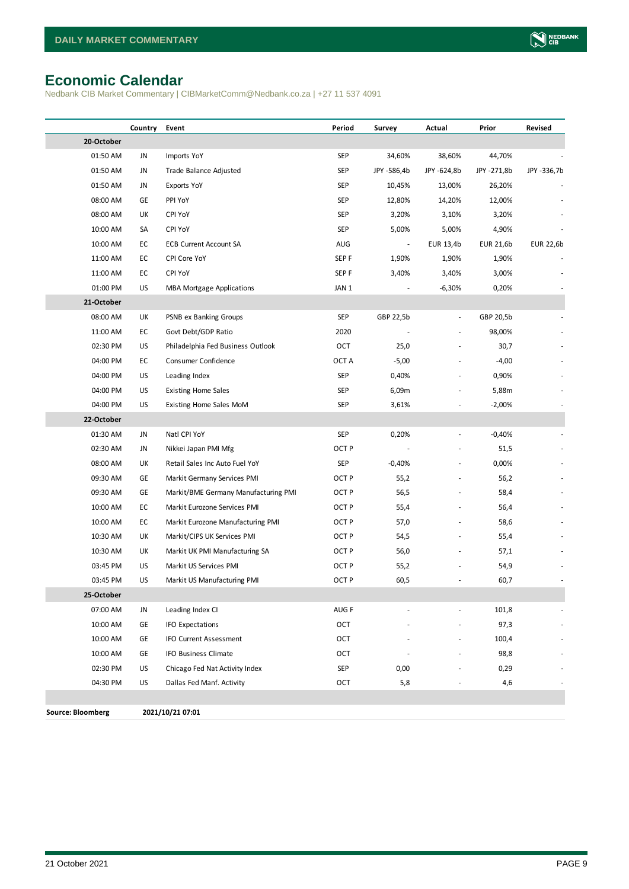# <span id="page-8-0"></span>**Economic Calendar**

Nedbank CIB Market Commentary | CIBMarketComm@Nedbank.co.za | +27 11 537 4091

|                          | Country | Event                                | Period           | Survey         | Actual                   | Prior       | Revised     |
|--------------------------|---------|--------------------------------------|------------------|----------------|--------------------------|-------------|-------------|
| 20-October               |         |                                      |                  |                |                          |             |             |
| 01:50 AM                 | JN      | Imports YoY                          | SEP              | 34,60%         | 38,60%                   | 44,70%      |             |
| 01:50 AM                 | JN      | Trade Balance Adjusted               | <b>SEP</b>       | JPY -586,4b    | JPY -624,8b              | JPY -271,8b | JPY -336,7b |
| 01:50 AM                 | JN      | Exports YoY                          | <b>SEP</b>       | 10,45%         | 13,00%                   | 26,20%      |             |
| 08:00 AM                 | GE      | PPI YoY                              | SEP              | 12,80%         | 14,20%                   | 12,00%      |             |
| 08:00 AM                 | UK      | <b>CPI YoY</b>                       | <b>SEP</b>       | 3,20%          | 3,10%                    | 3,20%       |             |
| 10:00 AM                 | SA      | <b>CPI YoY</b>                       | <b>SEP</b>       | 5,00%          | 5,00%                    | 4,90%       |             |
| 10:00 AM                 | EC      | <b>ECB Current Account SA</b>        | AUG              | $\blacksquare$ | EUR 13,4b                | EUR 21,6b   | EUR 22,6b   |
| 11:00 AM                 | EC      | CPI Core YoY                         | SEP <sub>F</sub> | 1,90%          | 1,90%                    | 1,90%       |             |
| 11:00 AM                 | EC      | CPI YoY                              | SEP <sub>F</sub> | 3,40%          | 3,40%                    | 3,00%       |             |
| 01:00 PM                 | US      | <b>MBA Mortgage Applications</b>     | JAN 1            |                | $-6,30%$                 | 0,20%       |             |
| 21-October               |         |                                      |                  |                |                          |             |             |
| 08:00 AM                 | UK      | PSNB ex Banking Groups               | SEP              | GBP 22,5b      | $\overline{\phantom{a}}$ | GBP 20,5b   |             |
| 11:00 AM                 | EC      | Govt Debt/GDP Ratio                  | 2020             |                | ä,                       | 98,00%      |             |
| 02:30 PM                 | US      | Philadelphia Fed Business Outlook    | OCT              | 25,0           |                          | 30,7        |             |
| 04:00 PM                 | EC      | Consumer Confidence                  | OCT A            | $-5,00$        |                          | $-4,00$     |             |
| 04:00 PM                 | US      | Leading Index                        | <b>SEP</b>       | 0,40%          |                          | 0,90%       |             |
| 04:00 PM                 | US      | <b>Existing Home Sales</b>           | <b>SEP</b>       | 6,09m          |                          | 5,88m       |             |
| 04:00 PM                 | US      | Existing Home Sales MoM              | <b>SEP</b>       | 3,61%          |                          | $-2,00%$    |             |
| 22-October               |         |                                      |                  |                |                          |             |             |
| 01:30 AM                 | JN      | Natl CPI YoY                         | SEP              | 0,20%          | $\blacksquare$           | $-0,40%$    |             |
| 02:30 AM                 | JN      | Nikkei Japan PMI Mfg                 | OCT P            |                |                          | 51,5        |             |
| 08:00 AM                 | UK      | Retail Sales Inc Auto Fuel YoY       | SEP              | $-0,40%$       | ä,                       | 0,00%       |             |
| 09:30 AM                 | GE      | Markit Germany Services PMI          | OCT <sub>P</sub> | 55,2           |                          | 56,2        |             |
| 09:30 AM                 | GE      | Markit/BME Germany Manufacturing PMI | OCT <sub>P</sub> | 56,5           |                          | 58,4        |             |
| 10:00 AM                 | EC      | Markit Eurozone Services PMI         | OCT <sub>P</sub> | 55,4           |                          | 56,4        |             |
| 10:00 AM                 | EC      | Markit Eurozone Manufacturing PMI    | OCT <sub>P</sub> | 57,0           |                          | 58,6        |             |
| 10:30 AM                 | UK      | Markit/CIPS UK Services PMI          | OCT <sub>P</sub> | 54,5           |                          | 55,4        |             |
| 10:30 AM                 | UK      | Markit UK PMI Manufacturing SA       | OCT <sub>P</sub> | 56,0           |                          | 57,1        |             |
| 03:45 PM                 | US      | Markit US Services PMI               | OCT <sub>P</sub> | 55,2           |                          | 54,9        |             |
| 03:45 PM                 | US      | Markit US Manufacturing PMI          | OCT <sub>P</sub> | 60,5           |                          | 60,7        |             |
| 25-October               |         |                                      |                  |                |                          |             |             |
| 07:00 AM                 | JN      | Leading Index CI                     | AUG F            |                |                          | 101,8       |             |
| 10:00 AM                 | GE      | <b>IFO Expectations</b>              | OCT              |                |                          | 97,3        |             |
| 10:00 AM                 | GE      | <b>IFO Current Assessment</b>        | OCT              |                |                          | 100,4       |             |
| 10:00 AM                 | GE      | IFO Business Climate                 | OCT              |                |                          | 98,8        |             |
| 02:30 PM                 | US      | Chicago Fed Nat Activity Index       | SEP              | 0,00           |                          | 0,29        |             |
| 04:30 PM                 | US      | Dallas Fed Manf. Activity            | OCT              | 5,8            |                          | 4,6         |             |
|                          |         |                                      |                  |                |                          |             |             |
| <b>Source: Bloomberg</b> |         | 2021/10/21 07:01                     |                  |                |                          |             |             |